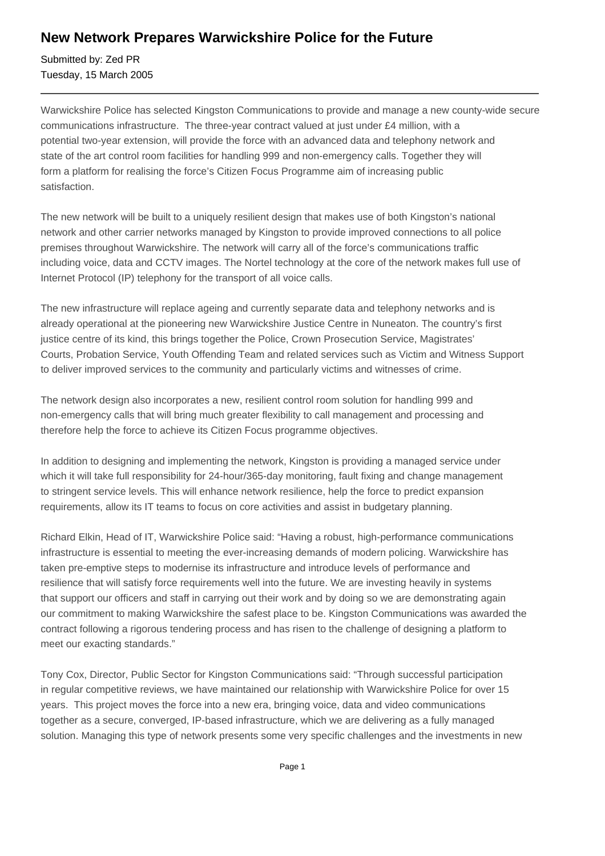## **New Network Prepares Warwickshire Police for the Future**

Submitted by: Zed PR Tuesday, 15 March 2005

Warwickshire Police has selected Kingston Communications to provide and manage a new county-wide secure communications infrastructure. The three-year contract valued at just under £4 million, with a potential two-year extension, will provide the force with an advanced data and telephony network and state of the art control room facilities for handling 999 and non-emergency calls. Together they will form a platform for realising the force's Citizen Focus Programme aim of increasing public satisfaction.

The new network will be built to a uniquely resilient design that makes use of both Kingston's national network and other carrier networks managed by Kingston to provide improved connections to all police premises throughout Warwickshire. The network will carry all of the force's communications traffic including voice, data and CCTV images. The Nortel technology at the core of the network makes full use of Internet Protocol (IP) telephony for the transport of all voice calls.

The new infrastructure will replace ageing and currently separate data and telephony networks and is already operational at the pioneering new Warwickshire Justice Centre in Nuneaton. The country's first justice centre of its kind, this brings together the Police, Crown Prosecution Service, Magistrates' Courts, Probation Service, Youth Offending Team and related services such as Victim and Witness Support to deliver improved services to the community and particularly victims and witnesses of crime.

The network design also incorporates a new, resilient control room solution for handling 999 and non-emergency calls that will bring much greater flexibility to call management and processing and therefore help the force to achieve its Citizen Focus programme objectives.

In addition to designing and implementing the network, Kingston is providing a managed service under which it will take full responsibility for 24-hour/365-day monitoring, fault fixing and change management to stringent service levels. This will enhance network resilience, help the force to predict expansion requirements, allow its IT teams to focus on core activities and assist in budgetary planning.

Richard Elkin, Head of IT, Warwickshire Police said: "Having a robust, high-performance communications infrastructure is essential to meeting the ever-increasing demands of modern policing. Warwickshire has taken pre-emptive steps to modernise its infrastructure and introduce levels of performance and resilience that will satisfy force requirements well into the future. We are investing heavily in systems that support our officers and staff in carrying out their work and by doing so we are demonstrating again our commitment to making Warwickshire the safest place to be. Kingston Communications was awarded the contract following a rigorous tendering process and has risen to the challenge of designing a platform to meet our exacting standards."

Tony Cox, Director, Public Sector for Kingston Communications said: "Through successful participation in regular competitive reviews, we have maintained our relationship with Warwickshire Police for over 15 years. This project moves the force into a new era, bringing voice, data and video communications together as a secure, converged, IP-based infrastructure, which we are delivering as a fully managed solution. Managing this type of network presents some very specific challenges and the investments in new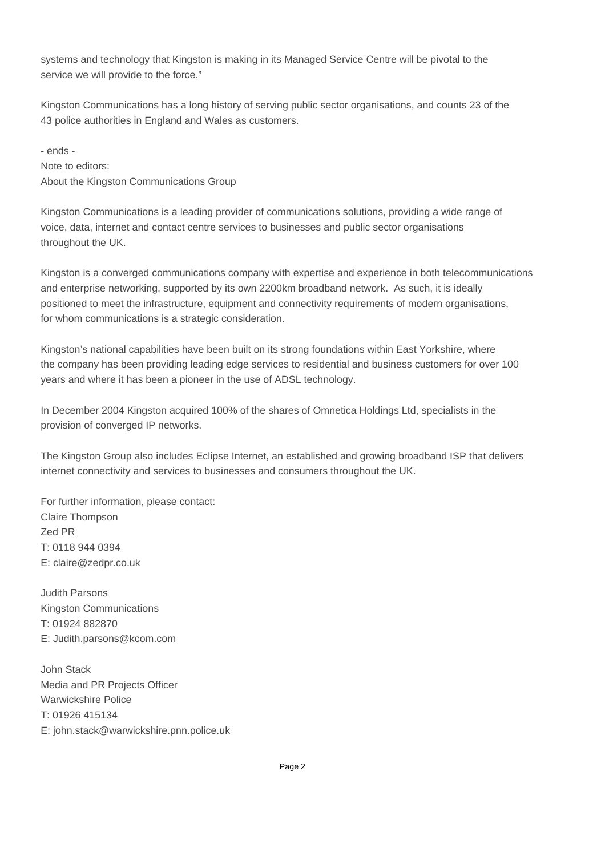systems and technology that Kingston is making in its Managed Service Centre will be pivotal to the service we will provide to the force."

Kingston Communications has a long history of serving public sector organisations, and counts 23 of the 43 police authorities in England and Wales as customers.

- ends - Note to editors: About the Kingston Communications Group

Kingston Communications is a leading provider of communications solutions, providing a wide range of voice, data, internet and contact centre services to businesses and public sector organisations throughout the UK.

Kingston is a converged communications company with expertise and experience in both telecommunications and enterprise networking, supported by its own 2200km broadband network. As such, it is ideally positioned to meet the infrastructure, equipment and connectivity requirements of modern organisations, for whom communications is a strategic consideration.

Kingston's national capabilities have been built on its strong foundations within East Yorkshire, where the company has been providing leading edge services to residential and business customers for over 100 years and where it has been a pioneer in the use of ADSL technology.

In December 2004 Kingston acquired 100% of the shares of Omnetica Holdings Ltd, specialists in the provision of converged IP networks.

The Kingston Group also includes Eclipse Internet, an established and growing broadband ISP that delivers internet connectivity and services to businesses and consumers throughout the UK.

For further information, please contact: Claire Thompson Zed PR T: 0118 944 0394 E: claire@zedpr.co.uk

Judith Parsons Kingston Communications T: 01924 882870 E: Judith.parsons@kcom.com

John Stack Media and PR Projects Officer Warwickshire Police T: 01926 415134 E: john.stack@warwickshire.pnn.police.uk